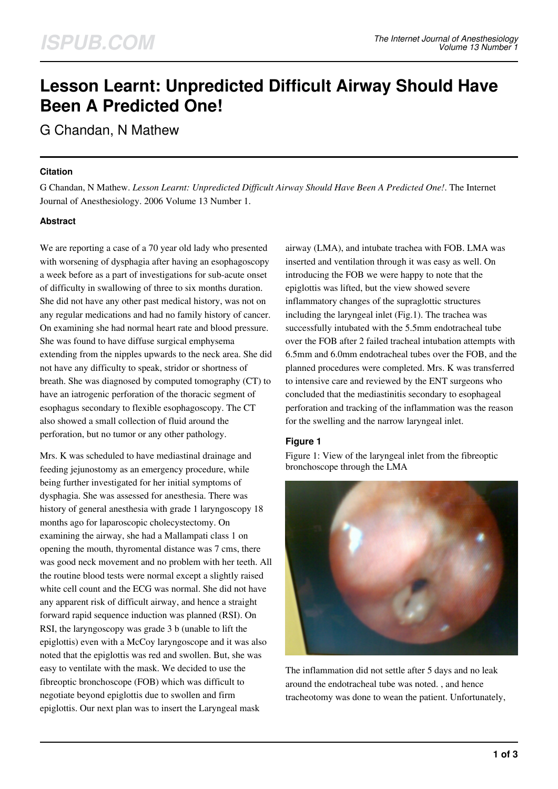# **Lesson Learnt: Unpredicted Difficult Airway Should Have Been A Predicted One!**

G Chandan, N Mathew

### **Citation**

G Chandan, N Mathew. *Lesson Learnt: Unpredicted Difficult Airway Should Have Been A Predicted One!*. The Internet Journal of Anesthesiology. 2006 Volume 13 Number 1.

## **Abstract**

We are reporting a case of a 70 year old lady who presented with worsening of dysphagia after having an esophagoscopy a week before as a part of investigations for sub-acute onset of difficulty in swallowing of three to six months duration. She did not have any other past medical history, was not on any regular medications and had no family history of cancer. On examining she had normal heart rate and blood pressure. She was found to have diffuse surgical emphysema extending from the nipples upwards to the neck area. She did not have any difficulty to speak, stridor or shortness of breath. She was diagnosed by computed tomography (CT) to have an iatrogenic perforation of the thoracic segment of esophagus secondary to flexible esophagoscopy. The CT also showed a small collection of fluid around the perforation, but no tumor or any other pathology.

Mrs. K was scheduled to have mediastinal drainage and feeding jejunostomy as an emergency procedure, while being further investigated for her initial symptoms of dysphagia. She was assessed for anesthesia. There was history of general anesthesia with grade 1 laryngoscopy 18 months ago for laparoscopic cholecystectomy. On examining the airway, she had a Mallampati class 1 on opening the mouth, thyromental distance was 7 cms, there was good neck movement and no problem with her teeth. All the routine blood tests were normal except a slightly raised white cell count and the ECG was normal. She did not have any apparent risk of difficult airway, and hence a straight forward rapid sequence induction was planned (RSI). On RSI, the laryngoscopy was grade 3 b (unable to lift the epiglottis) even with a McCoy laryngoscope and it was also noted that the epiglottis was red and swollen. But, she was easy to ventilate with the mask. We decided to use the fibreoptic bronchoscope (FOB) which was difficult to negotiate beyond epiglottis due to swollen and firm epiglottis. Our next plan was to insert the Laryngeal mask

airway (LMA), and intubate trachea with FOB. LMA was inserted and ventilation through it was easy as well. On introducing the FOB we were happy to note that the epiglottis was lifted, but the view showed severe inflammatory changes of the supraglottic structures including the laryngeal inlet (Fig.1). The trachea was successfully intubated with the 5.5mm endotracheal tube over the FOB after 2 failed tracheal intubation attempts with 6.5mm and 6.0mm endotracheal tubes over the FOB, and the planned procedures were completed. Mrs. K was transferred to intensive care and reviewed by the ENT surgeons who concluded that the mediastinitis secondary to esophageal perforation and tracking of the inflammation was the reason for the swelling and the narrow laryngeal inlet.

## **Figure 1**

Figure 1: View of the laryngeal inlet from the fibreoptic bronchoscope through the LMA



The inflammation did not settle after 5 days and no leak around the endotracheal tube was noted. , and hence tracheotomy was done to wean the patient. Unfortunately,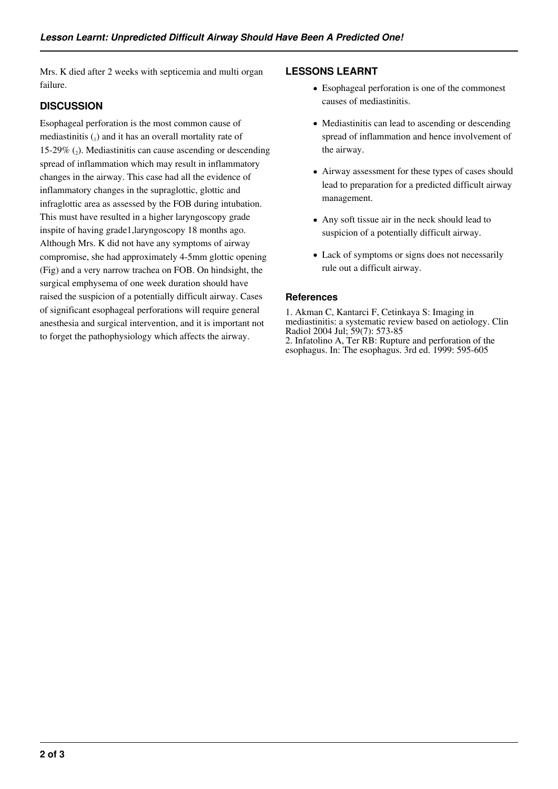Mrs. K died after 2 weeks with septicemia and multi organ failure.

# **DISCUSSION**

Esophageal perforation is the most common cause of mediastinitis  $\binom{1}{1}$  and it has an overall mortality rate of 15-29%  $(_{2})$ . Mediastinitis can cause ascending or descending spread of inflammation which may result in inflammatory changes in the airway. This case had all the evidence of inflammatory changes in the supraglottic, glottic and infraglottic area as assessed by the FOB during intubation. This must have resulted in a higher laryngoscopy grade inspite of having grade1,laryngoscopy 18 months ago. Although Mrs. K did not have any symptoms of airway compromise, she had approximately 4-5mm glottic opening (Fig) and a very narrow trachea on FOB. On hindsight, the surgical emphysema of one week duration should have raised the suspicion of a potentially difficult airway. Cases of significant esophageal perforations will require general anesthesia and surgical intervention, and it is important not to forget the pathophysiology which affects the airway.

# **LESSONS LEARNT**

- Esophageal perforation is one of the commonest causes of mediastinitis.
- Mediastinitis can lead to ascending or descending spread of inflammation and hence involvement of the airway.
- Airway assessment for these types of cases should lead to preparation for a predicted difficult airway management.
- Any soft tissue air in the neck should lead to suspicion of a potentially difficult airway.
- Lack of symptoms or signs does not necessarily rule out a difficult airway.

## **References**

1. Akman C, Kantarci F, Cetinkaya S: Imaging in mediastinitis: a systematic review based on aetiology. Clin Radiol 2004 Jul; 59(7): 573-85 2. Infatolino A, Ter RB: Rupture and perforation of the esophagus. In: The esophagus. 3rd ed. 1999: 595-605